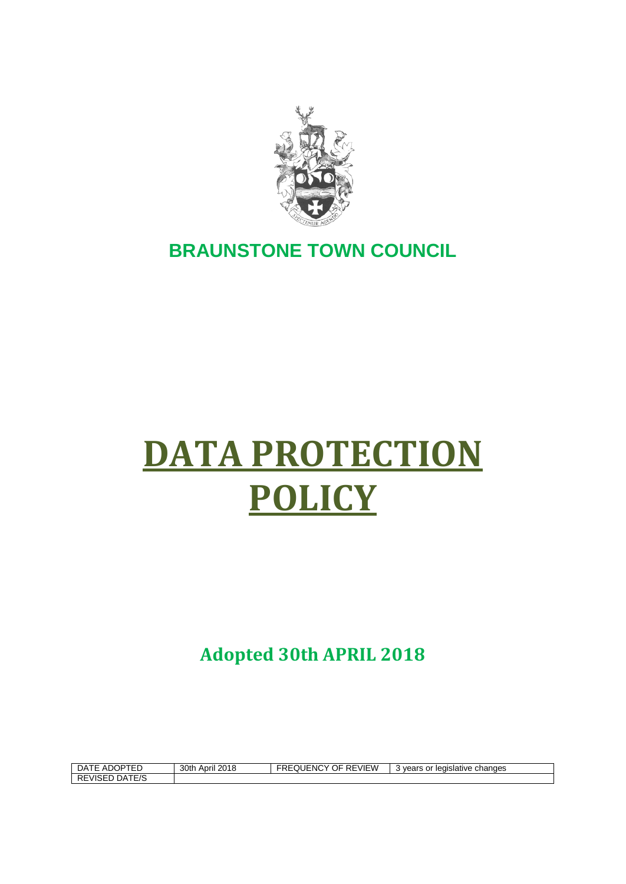

## **BRAUNSTONE TOWN COUNCIL**

# **DATA PROTECTION POLICY**

**Adopted 30th APRIL 2018**

| −4ر<br>∼<br>$\cdots$<br>ᄃ<br>טשה.                           | 30th<br>2015<br>April<br>2010 | <b>REVIEW</b><br>OF<br>.JUENC<br>v<br>∽ĸ∟<br>↖∟ | changes<br>or<br>$\Lambda$ VA2"<br>' leaislative<br>ear |
|-------------------------------------------------------------|-------------------------------|-------------------------------------------------|---------------------------------------------------------|
| $\triangle T \Box C$<br><b>RE</b><br>⊣ں<br>-visel<br>1 L/ J |                               |                                                 |                                                         |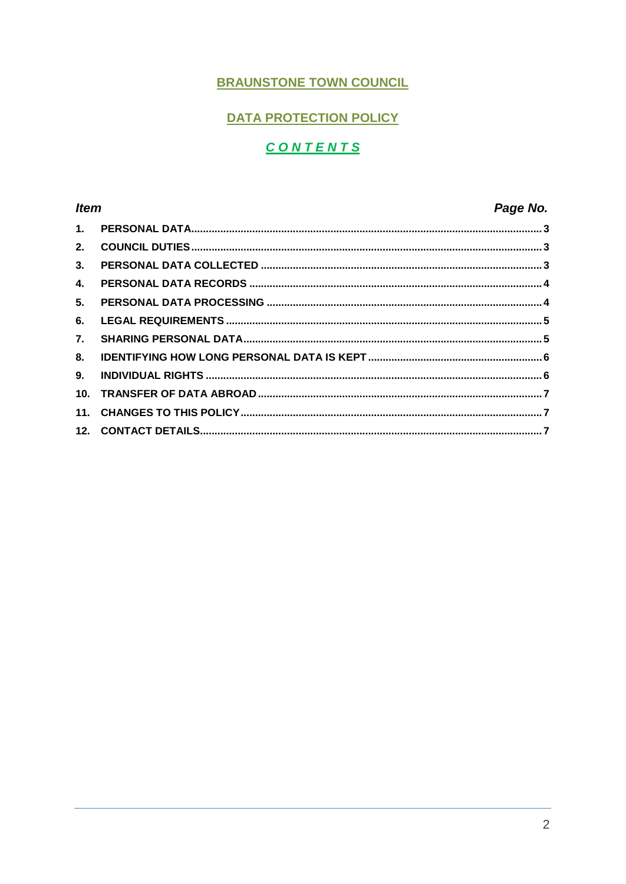#### **BRAUNSTONE TOWN COUNCIL**

#### **DATA PROTECTION POLICY**

### **CONTENTS**

#### **Item** Page No.  $\overline{1}$  $\overline{2}$  $3<sub>1</sub>$  $\mathbf{A}$  $5.$ 6.  $\overline{7}$ . 8. 9.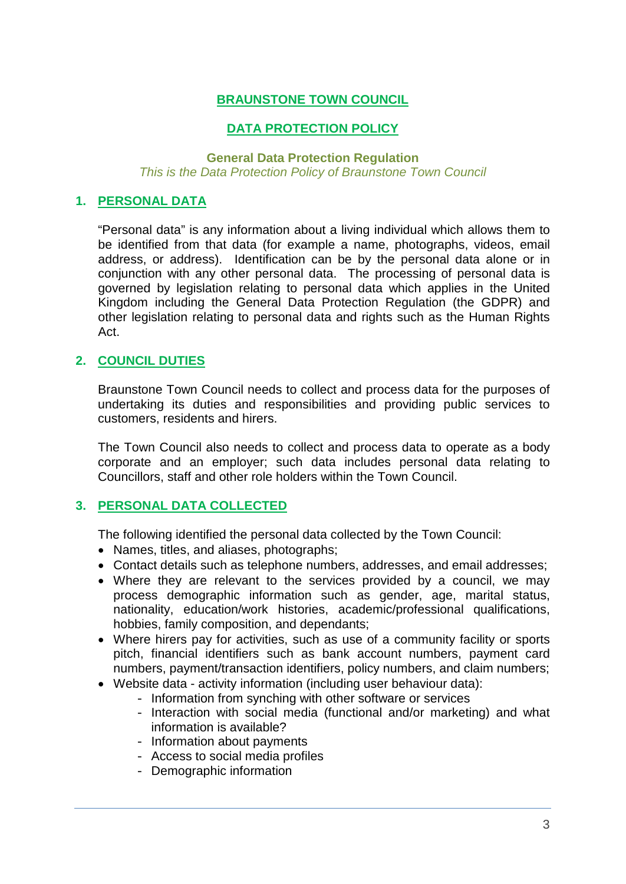#### **BRAUNSTONE TOWN COUNCIL**

#### **DATA PROTECTION POLICY**

#### **General Data Protection Regulation** *This is the Data Protection Policy of Braunstone Town Council*

#### <span id="page-2-0"></span>**1. PERSONAL DATA**

"Personal data" is any information about a living individual which allows them to be identified from that data (for example a name, photographs, videos, email address, or address). Identification can be by the personal data alone or in conjunction with any other personal data. The processing of personal data is governed by legislation relating to personal data which applies in the United Kingdom including the General Data Protection Regulation (the GDPR) and other legislation relating to personal data and rights such as the Human Rights Act.

#### <span id="page-2-1"></span>**2. COUNCIL DUTIES**

Braunstone Town Council needs to collect and process data for the purposes of undertaking its duties and responsibilities and providing public services to customers, residents and hirers.

The Town Council also needs to collect and process data to operate as a body corporate and an employer; such data includes personal data relating to Councillors, staff and other role holders within the Town Council.

#### <span id="page-2-2"></span>**3. PERSONAL DATA COLLECTED**

The following identified the personal data collected by the Town Council:

- Names, titles, and aliases, photographs;
- Contact details such as telephone numbers, addresses, and email addresses;
- Where they are relevant to the services provided by a council, we may process demographic information such as gender, age, marital status, nationality, education/work histories, academic/professional qualifications, hobbies, family composition, and dependants;
- Where hirers pay for activities, such as use of a community facility or sports pitch, financial identifiers such as bank account numbers, payment card numbers, payment/transaction identifiers, policy numbers, and claim numbers;
- Website data activity information (including user behaviour data):
	- Information from synching with other software or services
	- Interaction with social media (functional and/or marketing) and what information is available?
	- Information about payments
	- Access to social media profiles
	- Demographic information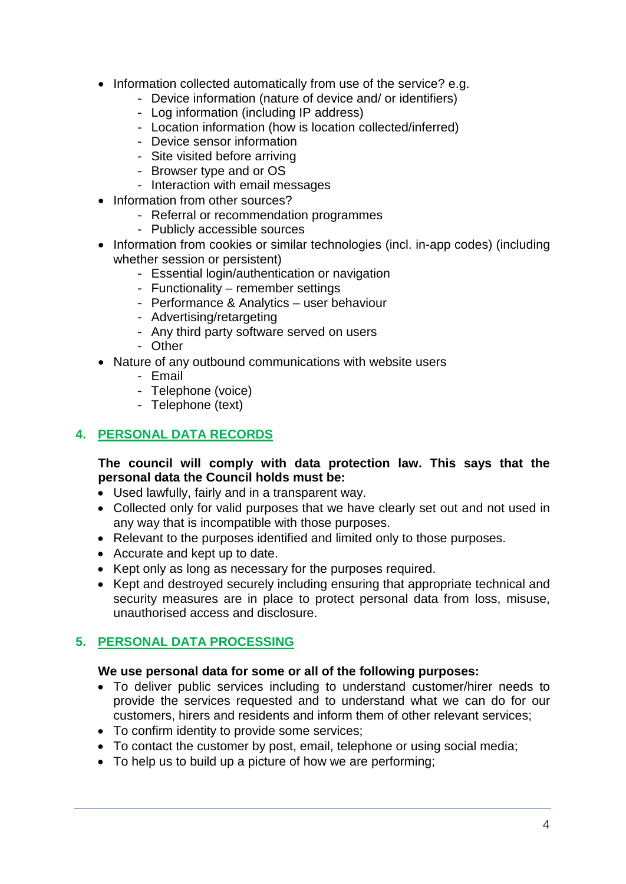- Information collected automatically from use of the service? e.g.
	- Device information (nature of device and/ or identifiers)
	- Log information (including IP address)
	- Location information (how is location collected/inferred)
	- Device sensor information
	- Site visited before arriving
	- Browser type and or OS
	- Interaction with email messages
- Information from other sources?
	- Referral or recommendation programmes
	- Publicly accessible sources
- Information from cookies or similar technologies (incl. in-app codes) (including whether session or persistent)
	- Essential login/authentication or navigation
	- Functionality remember settings
	- Performance & Analytics user behaviour
	- Advertising/retargeting
	- Any third party software served on users
	- Other
- Nature of any outbound communications with website users
	- Email
	- Telephone (voice)
	- Telephone (text)

#### <span id="page-3-0"></span>**4. PERSONAL DATA RECORDS**

#### **The council will comply with data protection law. This says that the personal data the Council holds must be:**

- Used lawfully, fairly and in a transparent way.
- Collected only for valid purposes that we have clearly set out and not used in any way that is incompatible with those purposes.
- Relevant to the purposes identified and limited only to those purposes.
- Accurate and kept up to date.
- Kept only as long as necessary for the purposes required.
- Kept and destroyed securely including ensuring that appropriate technical and security measures are in place to protect personal data from loss, misuse, unauthorised access and disclosure.

#### <span id="page-3-1"></span>**5. PERSONAL DATA PROCESSING**

#### **We use personal data for some or all of the following purposes:**

- To deliver public services including to understand customer/hirer needs to provide the services requested and to understand what we can do for our customers, hirers and residents and inform them of other relevant services;
- To confirm identity to provide some services;
- To contact the customer by post, email, telephone or using social media;
- To help us to build up a picture of how we are performing;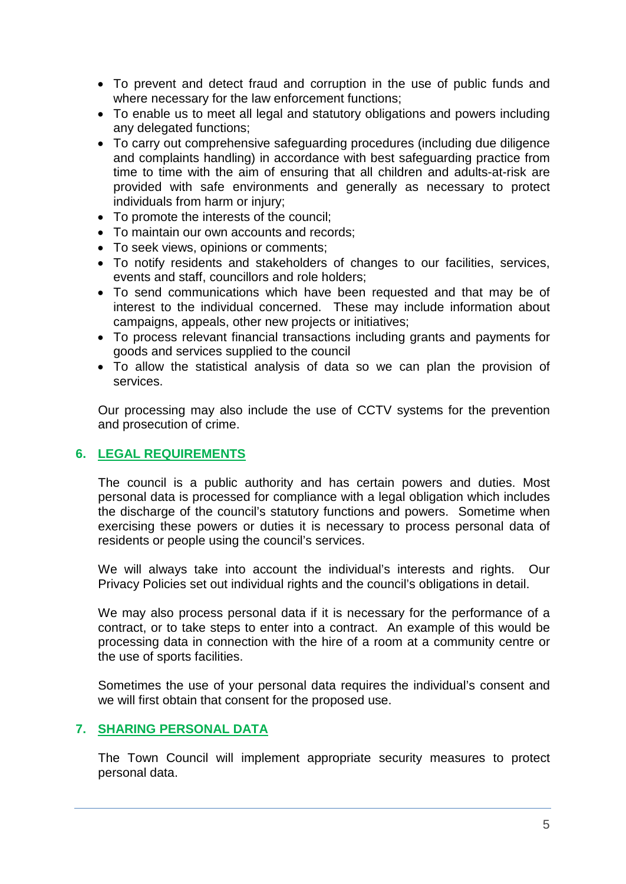- To prevent and detect fraud and corruption in the use of public funds and where necessary for the law enforcement functions;
- To enable us to meet all legal and statutory obligations and powers including any delegated functions;
- To carry out comprehensive safeguarding procedures (including due diligence and complaints handling) in accordance with best safeguarding practice from time to time with the aim of ensuring that all children and adults-at-risk are provided with safe environments and generally as necessary to protect individuals from harm or injury;
- To promote the interests of the council;
- To maintain our own accounts and records;
- To seek views, opinions or comments;
- To notify residents and stakeholders of changes to our facilities, services, events and staff, councillors and role holders;
- To send communications which have been requested and that may be of interest to the individual concerned. These may include information about campaigns, appeals, other new projects or initiatives;
- To process relevant financial transactions including grants and payments for goods and services supplied to the council
- To allow the statistical analysis of data so we can plan the provision of services.

Our processing may also include the use of CCTV systems for the prevention and prosecution of crime.

#### <span id="page-4-0"></span>**6. LEGAL REQUIREMENTS**

The council is a public authority and has certain powers and duties. Most personal data is processed for compliance with a legal obligation which includes the discharge of the council's statutory functions and powers. Sometime when exercising these powers or duties it is necessary to process personal data of residents or people using the council's services.

We will always take into account the individual's interests and rights. Our Privacy Policies set out individual rights and the council's obligations in detail.

We may also process personal data if it is necessary for the performance of a contract, or to take steps to enter into a contract. An example of this would be processing data in connection with the hire of a room at a community centre or the use of sports facilities.

Sometimes the use of your personal data requires the individual's consent and we will first obtain that consent for the proposed use.

#### <span id="page-4-1"></span>**7. SHARING PERSONAL DATA**

The Town Council will implement appropriate security measures to protect personal data.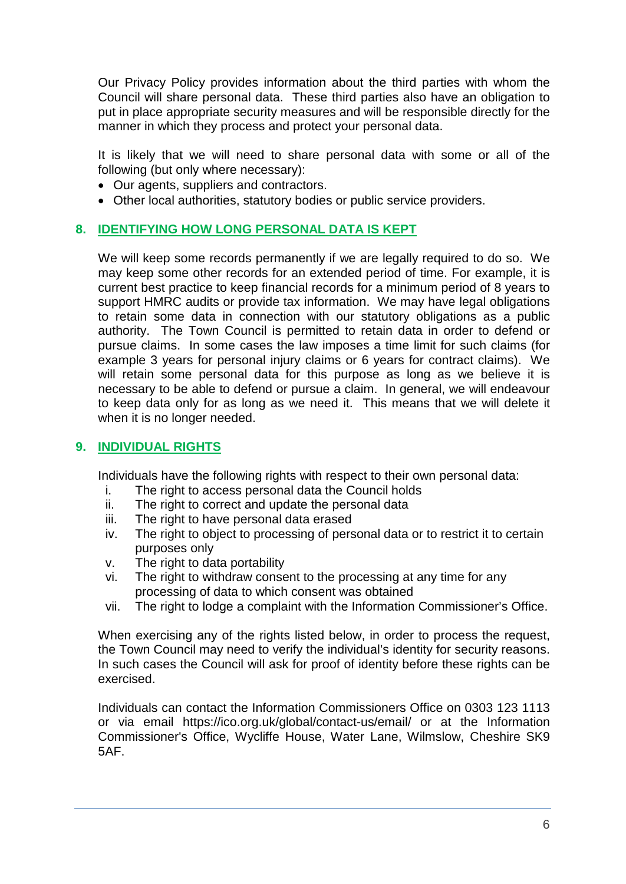Our Privacy Policy provides information about the third parties with whom the Council will share personal data. These third parties also have an obligation to put in place appropriate security measures and will be responsible directly for the manner in which they process and protect your personal data.

It is likely that we will need to share personal data with some or all of the following (but only where necessary):

- Our agents, suppliers and contractors.
- Other local authorities, statutory bodies or public service providers.

#### <span id="page-5-0"></span>**8. IDENTIFYING HOW LONG PERSONAL DATA IS KEPT**

We will keep some records permanently if we are legally required to do so. We may keep some other records for an extended period of time. For example, it is current best practice to keep financial records for a minimum period of 8 years to support HMRC audits or provide tax information. We may have legal obligations to retain some data in connection with our statutory obligations as a public authority. The Town Council is permitted to retain data in order to defend or pursue claims. In some cases the law imposes a time limit for such claims (for example 3 years for personal injury claims or 6 years for contract claims). We will retain some personal data for this purpose as long as we believe it is necessary to be able to defend or pursue a claim. In general, we will endeavour to keep data only for as long as we need it. This means that we will delete it when it is no longer needed.

#### <span id="page-5-1"></span>**9. INDIVIDUAL RIGHTS**

Individuals have the following rights with respect to their own personal data:

- i. The right to access personal data the Council holds
- ii. The right to correct and update the personal data
- iii. The right to have personal data erased
- iv. The right to object to processing of personal data or to restrict it to certain purposes only
- v. The right to data portability
- vi. The right to withdraw consent to the processing at any time for any processing of data to which consent was obtained
- vii. The right to lodge a complaint with the Information Commissioner's Office.

When exercising any of the rights listed below, in order to process the request, the Town Council may need to verify the individual's identity for security reasons. In such cases the Council will ask for proof of identity before these rights can be exercised.

Individuals can contact the Information Commissioners Office on 0303 123 1113 or via email https://ico.org.uk/global/contact-us/email/ or at the Information Commissioner's Office, Wycliffe House, Water Lane, Wilmslow, Cheshire SK9 5AF.